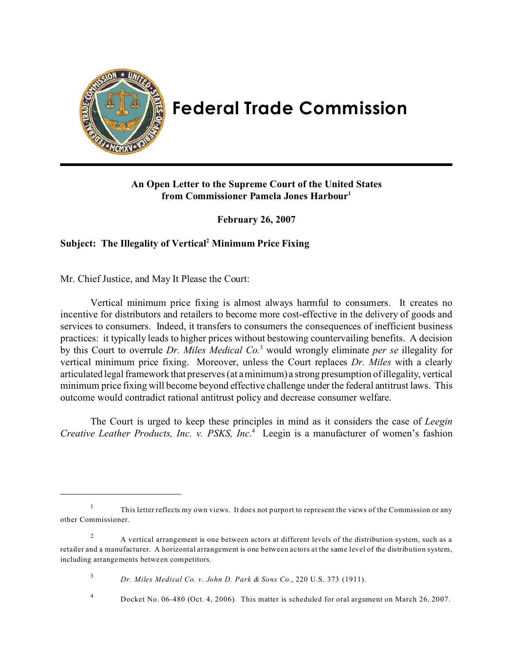

# **Federal Trade Commission**

## **An Open Letter to the Supreme Court of the United States from Commissioner Pamela Jones Harbour1**

**February 26, 2007** 

## Subject: The Illegality of Vertical<sup>2</sup> Minimum Price Fixing

Mr. Chief Justice, and May It Please the Court:

Vertical minimum price fixing is almost always harmful to consumers. It creates no incentive for distributors and retailers to become more cost-effective in the delivery of goods and services to consumers. Indeed, it transfers to consumers the consequences of inefficient business practices: it typically leads to higher prices without bestowing countervailing benefits. A decision by this Court to overrule *Dr. Miles Medical Co.*<sup>3</sup> would wrongly eliminate *per se* illegality for vertical minimum price fixing. Moreover, unless the Court replaces *Dr. Miles* with a clearly articulated legal framework that preserves (at a minimum) a strong presumption of illegality, vertical minimum price fixing will become beyond effective challenge under the federal antitrust laws. This outcome would contradict rational antitrust policy and decrease consumer welfare.

The Court is urged to keep these principles in mind as it considers the case of *Leegin Creative Leather Products, Inc. v. PSKS, Inc*. 4 Leegin is a manufacturer of women's fashion

<sup>&</sup>lt;sup>1</sup> This letter reflects my own views. It does not purport to represent the views of the Commission or any other Commissioner.

<sup>&</sup>lt;sup>2</sup> A vertical arrangement is one between actors at different levels of the distribution system, such as a retailer and a manufacturer. A horizontal arrangement is one between actors at the same level of the distribution system, including arrangements between competitors.

<sup>3</sup>*Dr. Miles Medical Co. v. John D. Park & Sons Co.*, 220 U.S. 373 (1911).

<sup>4</sup> Docket No. 06-480 (Oct. 4, 2006)*.* This matter is scheduled for oral argument on March 26, 2007.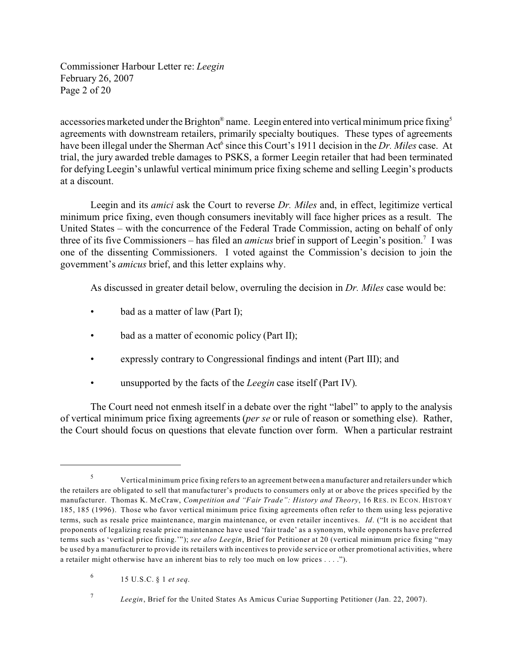Commissioner Harbour Letter re: *Leegin*  February 26, 2007 Page 2 of 20

accessories marketed under the Brighton<sup>®</sup> name. Leegin entered into vertical minimum price fixing<sup>5</sup> agreements with downstream retailers, primarily specialty boutiques. These types of agreements have been illegal under the Sherman Act<sup>6</sup> since this Court's 1911 decision in the *Dr. Miles* case. At trial, the jury awarded treble damages to PSKS, a former Leegin retailer that had been terminated for defying Leegin's unlawful vertical minimum price fixing scheme and selling Leegin's products at a discount.

Leegin and its *amici* ask the Court to reverse *Dr. Miles* and, in effect, legitimize vertical minimum price fixing, even though consumers inevitably will face higher prices as a result. The United States – with the concurrence of the Federal Trade Commission, acting on behalf of only three of its five Commissioners – has filed an *amicus* brief in support of Leegin's position.<sup>7</sup> I was one of the dissenting Commissioners. I voted against the Commission's decision to join the government's *amicus* brief, and this letter explains why.

As discussed in greater detail below, overruling the decision in *Dr. Miles* case would be:

- bad as a matter of law (Part I);
- bad as a matter of economic policy (Part II);
- expressly contrary to Congressional findings and intent (Part III); and
- unsupported by the facts of the *Leegin* case itself (Part IV).

The Court need not enmesh itself in a debate over the right "label" to apply to the analysis of vertical minimum price fixing agreements (*per se* or rule of reason or something else). Rather, the Court should focus on questions that elevate function over form. When a particular restraint

<sup>&</sup>lt;sup>5</sup> Vertical minimum price fixing refers to an agreement between a manufacturer and retailers under which the retailers are obligated to sell that manufacturer's products to consumers only at or above the prices specified by the manufacturer. Thomas K. McCraw, *Competition and "Fair Trade": History and Theory*, 16 RES. IN ECON. HISTORY 185, 185 (1996). Those who favor vertical minimum price fixing agreements often refer to them using less pejorative terms, such as resale price maintenance, margin maintenance, or even retailer incentive s. *Id*. ("It is no accident that proponents of legalizing resale price maintenance have used 'fair trade' as a synonym, while opponents have preferred terms such as 'vertical price fixing.'"); *see also Leegin*, Brief for Petitioner at 20 (vertical minimum price fixing "may be used by a manufacturer to provide its retailers with incentives to provide service or other promotional activities, where a retailer might otherwise have an inherent bias to rely too much on low prices . . . .").

<sup>6 15</sup> U.S.C. § 1 *et seq*.

<sup>7</sup>*Leegin*, Brief for the United States As Amicus Curiae Supporting Petitioner (Jan. 22, 2007).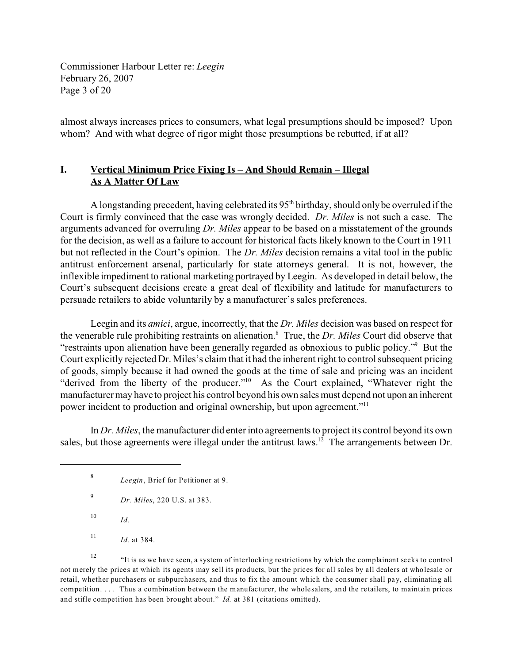Commissioner Harbour Letter re: *Leegin*  February 26, 2007 Page 3 of 20

almost always increases prices to consumers, what legal presumptions should be imposed? Upon whom? And with what degree of rigor might those presumptions be rebutted, if at all?

## **I. Vertical Minimum Price Fixing Is – And Should Remain – Illegal As A Matter Of Law**

A longstanding precedent, having celebrated its  $95<sup>th</sup>$  birthday, should only be overruled if the Court is firmly convinced that the case was wrongly decided. *Dr. Miles* is not such a case. The arguments advanced for overruling *Dr. Miles* appear to be based on a misstatement of the grounds for the decision, as well as a failure to account for historical facts likely known to the Court in 1911 but not reflected in the Court's opinion. The *Dr. Miles* decision remains a vital tool in the public antitrust enforcement arsenal, particularly for state attorneys general. It is not, however, the inflexible impediment to rational marketing portrayed by Leegin. As developed in detail below, the Court's subsequent decisions create a great deal of flexibility and latitude for manufacturers to persuade retailers to abide voluntarily by a manufacturer's sales preferences.

Leegin and its *amici*, argue, incorrectly, that the *Dr. Miles* decision was based on respect for the venerable rule prohibiting restraints on alienation.8 True, the *Dr. Miles* Court did observe that "restraints upon alienation have been generally regarded as obnoxious to public policy."9 But the Court explicitly rejected Dr. Miles's claim that it had the inherent right to control subsequent pricing of goods, simply because it had owned the goods at the time of sale and pricing was an incident "derived from the liberty of the producer."10 As the Court explained, "Whatever right the manufacturer may have to project his control beyond his own sales must depend not upon an inherent power incident to production and original ownership, but upon agreement."11

In *Dr. Miles*, the manufacturer did enter into agreements to project its control beyond its own sales, but those agreements were illegal under the antitrust laws.<sup>12</sup> The arrangements between Dr.

- <sup>9</sup>*Dr. Miles*, 220 U.S. at 383.
- <sup>10</sup>*Id.*
- <sup>11</sup> *Id.* at 384.

<sup>12</sup> "It is as we have seen, a system of interlocking restrictions by which the complainant seeks to control not merely the prices at which its agents may sell its products, but the prices for all sales by all dealers at wholesale or retail, whether purchasers or subpurchasers, and thus to fix the amount which the consumer shall pay, eliminating all competition. . . . Thus a combination between the manufacturer, the wholesalers, and the retailers, to maintain prices and stifle competition has been brought about." *Id.* at 381 (citations omitted).

<sup>8</sup>*Leegin*, Brief for Petitioner at 9.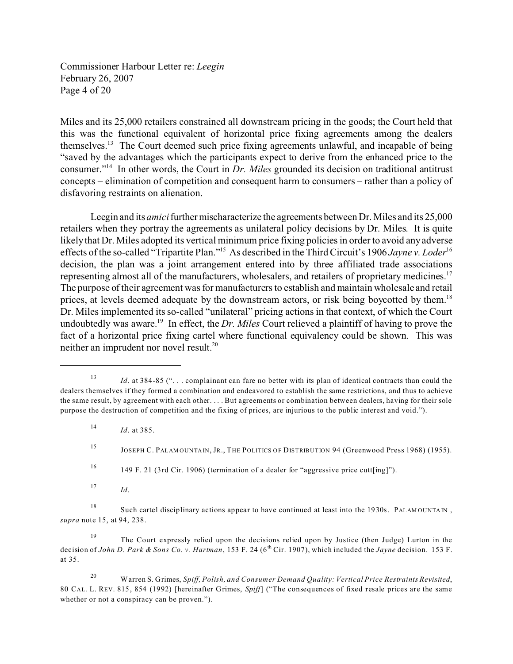Commissioner Harbour Letter re: *Leegin*  February 26, 2007 Page 4 of 20

Miles and its 25,000 retailers constrained all downstream pricing in the goods; the Court held that this was the functional equivalent of horizontal price fixing agreements among the dealers themselves.13 The Court deemed such price fixing agreements unlawful, and incapable of being "saved by the advantages which the participants expect to derive from the enhanced price to the consumer."14 In other words, the Court in *Dr. Miles* grounded its decision on traditional antitrust concepts – elimination of competition and consequent harm to consumers – rather than a policy of disfavoring restraints on alienation.

Leegin and its *amici*further mischaracterize the agreements between Dr. Miles and its 25,000 retailers when they portray the agreements as unilateral policy decisions by Dr. Miles. It is quite likely that Dr. Miles adopted its vertical minimum price fixing policies in order to avoid any adverse effects of the so-called "Tripartite Plan."15 As described in the Third Circuit's 1906 *Jayne v. Loder*<sup>16</sup> decision, the plan was a joint arrangement entered into by three affiliated trade associations representing almost all of the manufacturers, wholesalers, and retailers of proprietary medicines.<sup>17</sup> The purpose of their agreement was for manufacturers to establish and maintain wholesale and retail prices, at levels deemed adequate by the downstream actors, or risk being boycotted by them.<sup>18</sup> Dr. Miles implemented its so-called "unilateral" pricing actions in that context, of which the Court undoubtedly was aware.<sup>19</sup> In effect, the *Dr. Miles* Court relieved a plaintiff of having to prove the fact of a horizontal price fixing cartel where functional equivalency could be shown. This was neither an imprudent nor novel result.<sup>20</sup>

16 149 F. 21 (3rd Cir. 1906) (termination of a dealer for "aggressive price cutt[ing]").

 $17$  *Id.* 

<sup>18</sup> Such cartel disciplinary actions appear to have continued at least into the 1930s. PALAMOUNTAIN, *supra* note 15, at 94, 238.

<sup>19</sup> The Court expressly relied upon the decisions relied upon by Justice (then Judge) Lurton in the decision of *John D. Park & Sons Co. v. Hartman*, 153 F. 24 (6<sup>th</sup> Cir. 1907), which included the *Jayne* decision. 153 F. at 35.

20 Warren S. Grimes, *Spiff, Polish, and Consumer Demand Quality: Vertical Price Restraints Revisited*, 80 CAL. L. REV. 815, 854 (1992) [hereinafter Grimes, *Spiff*] ("The consequences of fixed resale prices are the same whether or not a conspiracy can be proven.").

<sup>13</sup>*Id*. at 384-85 (". . . complainant can fare no better with its plan of identical contracts than could the dealers themselves if they formed a combination and endeavored to establish the same restrictions, and thus to achieve the same result, by agreement with each other. . . . But agreements or combination between dealers, having for their sole purpose the destruction of competition and the fixing of prices, are injurious to the public interest and void.").

<sup>14</sup>*Id*. at 385.

<sup>15</sup> JOSEPH C. PALAM OUNTA IN, JR., THE POLITICS OF DISTRIBUTION 94 (Greenwood Press 1968) (1955).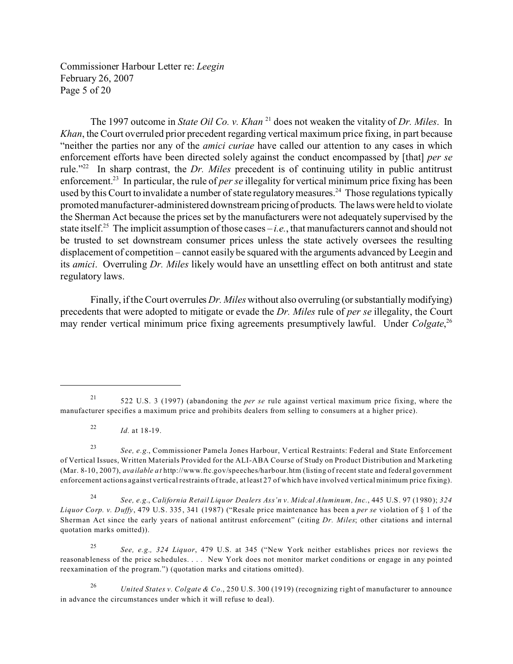Commissioner Harbour Letter re: *Leegin*  February 26, 2007 Page 5 of 20

The 1997 outcome in *State Oil Co. v. Khan* 21 does not weaken the vitality of *Dr. Miles*. In *Khan*, the Court overruled prior precedent regarding vertical maximum price fixing, in part because "neither the parties nor any of the *amici curiae* have called our attention to any cases in which enforcement efforts have been directed solely against the conduct encompassed by [that] *per se*  rule."22 In sharp contrast, the *Dr. Miles* precedent is of continuing utility in public antitrust enforcement.23 In particular, the rule of *per se* illegality for vertical minimum price fixing has been used by this Court to invalidate a number of state regulatory measures.<sup>24</sup> Those regulations typically promoted manufacturer-administered downstream pricing of products. The laws were held to violate the Sherman Act because the prices set by the manufacturers were not adequately supervised by the state itself.<sup>25</sup> The implicit assumption of those cases  $-i.e.,$  that manufacturers cannot and should not be trusted to set downstream consumer prices unless the state actively oversees the resulting displacement of competition – cannot easily be squared with the arguments advanced by Leegin and its *amici*. Overruling *Dr. Miles* likely would have an unsettling effect on both antitrust and state regulatory laws.

Finally, if the Court overrules *Dr. Miles* without also overruling (or substantially modifying) precedents that were adopted to mitigate or evade the *Dr. Miles* rule of *per se* illegality, the Court may render vertical minimum price fixing agreements presumptively lawful. Under *Colgate*, 26

<sup>21 522</sup> U.S. 3 (1997) (abandoning the *per se* rule against vertical maximum price fixing, where the manufacturer specifies a maximum price and prohibits dealers from selling to consumers at a higher price).

<sup>22</sup>*Id.* at 18-19.

<sup>23</sup>*See, e.g.*, Commissioner Pamela Jones Harbour, Vertical Restraints: Federal and State Enforcement of Vertical Issues, Written Materials Provided for the ALI-ABA Course of Study on Product Distribution and Marketing (Mar. 8-10, 2007), *available at* http://www.ftc.gov/speeches/harbour.htm (listing of recent state and federal government enforcement actions against vertical restraints of trade, at least 27 of which have involved vertical minimum price fixing).

<sup>24</sup>*See, e.g.*, *California Retail Liquor Dealers Ass'n v. Midcal Aluminum, Inc.*, 445 U.S. 97 (1980); *324 Liquor Corp. v. Duffy*, 479 U.S. 335, 341 (1987) ("Resale price maintenance has been a *per se* violation of § 1 of the Sherman Act since the early years of national antitrust enforcement" (citing *Dr. Miles*; other citations and internal quotation marks omitted)).

<sup>25</sup>*See, e.g., 324 Liquor*, 479 U.S. at 345 ("New York neither establishes prices nor reviews the reasonableness of the price schedules. . . . New York does not monitor market conditions or engage in any pointed reexamination of the program.") (quotation marks and citations omitted).

<sup>26</sup>*United States v. Colgate & Co*., 250 U.S. 300 (1919) (recognizing right of manufacturer to announce in advance the circumstances under which it will refuse to deal).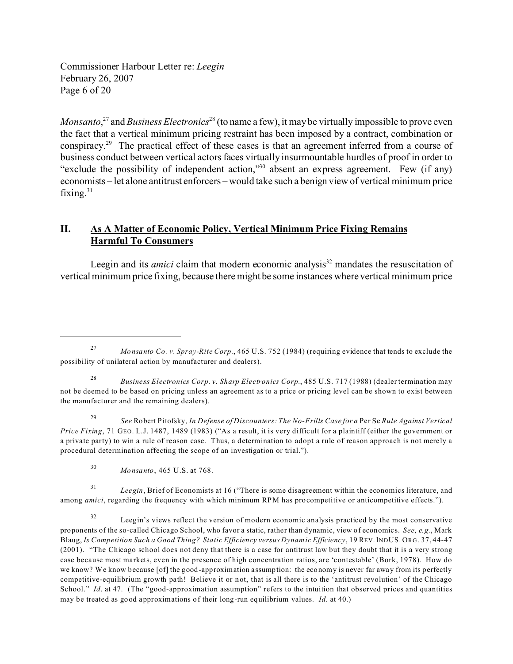Commissioner Harbour Letter re: *Leegin*  February 26, 2007 Page 6 of 20

*Monsanto*, 27 and *Business Electronics*28 (to name a few), it may be virtually impossible to prove even the fact that a vertical minimum pricing restraint has been imposed by a contract, combination or conspiracy.29 The practical effect of these cases is that an agreement inferred from a course of business conduct between vertical actors faces virtually insurmountable hurdles of proof in order to "exclude the possibility of independent action,"30 absent an express agreement. Few (if any) economists – let alone antitrust enforcers – would take such a benign view of vertical minimum price fixing. $31$ 

## **II. As A Matter of Economic Policy, Vertical Minimum Price Fixing Remains Harmful To Consumers**

Leegin and its *amici* claim that modern economic analysis<sup>32</sup> mandates the resuscitation of vertical minimum price fixing, because there might be some instances where vertical minimum price

<sup>29</sup>*See* Robert Pitofsky, *In Defense of Discounters: The No-Frills Case for a* Per Se *Rule Against Vertical Price Fixing*, 71 GEO. L.J. 1487, 1489 (1983) ("As a result, it is very difficult for a plaintiff (either the government or a private party) to win a rule of reason case. Thus, a determination to adopt a rule of reason approach is not merely a procedural determination affecting the scope of an investigation or trial.").

<sup>31</sup>*Leegin*, Brief of Economists at 16 ("There is some disagreement within the economics literature, and among *amici*, regarding the frequency with which minimum RPM has procompetitive or anticompetitive effects.").

<sup>27</sup>*Monsanto Co. v. Spray-Rite Corp.*, 465 U.S. 752 (1984) (requiring evidence that tends to exclude the possibility of unilateral action by manufacturer and dealers).

<sup>28</sup>*Business Electronics Corp. v. Sharp Electronics Corp.*, 485 U.S. 717 (1988) (dealer termination may not be deemed to be based on pricing unless an agreement as to a price or pricing level can be shown to exist between the manufacturer and the remaining dealers).

<sup>30</sup>*Monsanto*, 465 U.S. at 768.

<sup>&</sup>lt;sup>32</sup> Leegin's views reflect the version of modern economic analysis practiced by the most conservative proponents of the so-called Chicago School, who favor a static, rather than dynamic, view of economics. *See, e.g.*, Mark Blaug, *Is Competition Such a Good Thing? Static Efficiency versus Dynamic Efficiency*, 19 REV.INDUS. ORG. 37, 44-47 (2001). "The Chicago school does not deny that there is a case for antitrust law but they doubt that it is a very strong case because most markets, even in the presence of high concentration ratios, are 'contestable' (Bork, 1978). How do we know? We know because [of] the good-approximation assumption: the economy is never far away from its perfectly competitive-equilibrium growth path! Believe it or not, that is all there is to the 'antitrust revolution' of the Chicago School." *Id.* at 47. (The "good-approximation assumption" refers to the intuition that observed prices and quantities may be treated as good approximations of their long-run equilibrium values. *Id*. at 40.)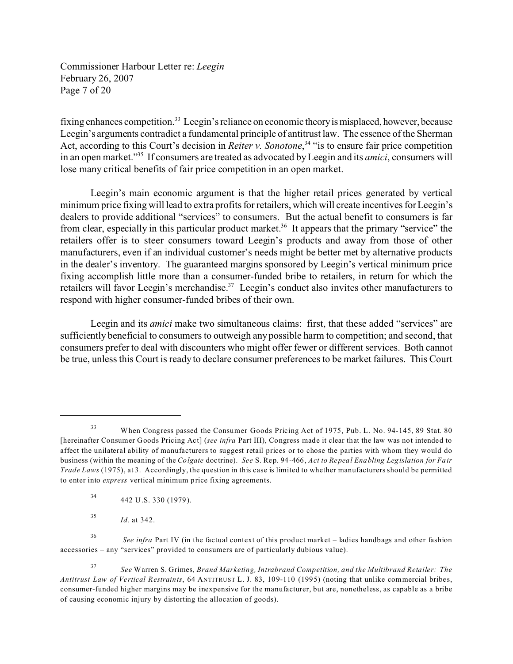Commissioner Harbour Letter re: *Leegin*  February 26, 2007 Page 7 of 20

fixing enhances competition.<sup>33</sup> Leegin's reliance on economic theory is misplaced, however, because Leegin's arguments contradict a fundamental principle of antitrust law. The essence of the Sherman Act, according to this Court's decision in *Reiter v. Sonotone*, 34 "is to ensure fair price competition in an open market."35 If consumers are treated as advocated by Leegin and its *amici*, consumers will lose many critical benefits of fair price competition in an open market.

Leegin's main economic argument is that the higher retail prices generated by vertical minimum price fixing will lead to extra profits for retailers, which will create incentives for Leegin's dealers to provide additional "services" to consumers. But the actual benefit to consumers is far from clear, especially in this particular product market.<sup>36</sup> It appears that the primary "service" the retailers offer is to steer consumers toward Leegin's products and away from those of other manufacturers, even if an individual customer's needs might be better met by alternative products in the dealer's inventory. The guaranteed margins sponsored by Leegin's vertical minimum price fixing accomplish little more than a consumer-funded bribe to retailers, in return for which the retailers will favor Leegin's merchandise.<sup>37</sup> Leegin's conduct also invites other manufacturers to respond with higher consumer-funded bribes of their own.

Leegin and its *amici* make two simultaneous claims: first, that these added "services" are sufficiently beneficial to consumers to outweigh any possible harm to competition; and second, that consumers prefer to deal with discounters who might offer fewer or different services. Both cannot be true, unless this Court is ready to declare consumer preferences to be market failures. This Court

34 442 U.S. 330 (1979).

<sup>35</sup>*Id.* at 342.

<sup>36</sup>*See infra* Part IV (in the factual context of this product market – ladies handbags and other fashion accessories – any "services" provided to consumers are of particularly dubious value).

<sup>37</sup>*See* Warren S. Grimes, *Brand Marketing, Intrabrand Competition, and the Multibrand Retailer: The Antitrust Law of Vertical Restraints*, 64 ANTITRUST L. J. 83, 109-110 (1995) (noting that unlike commercial bribes, consumer-funded higher margins may be inexpensive for the manufacturer, but are, nonetheless, as capable as a bribe of causing economic injury by distorting the allocation of goods).

<sup>33</sup> When Congress passed the Consumer Goods Pricing Act of 1975, Pub. L. No. 94-145, 89 Stat. 80 [hereinafter Consumer Goods Pricing Act] (*see infra* Part III), Congress made it clear that the law was not intended to affect the unilateral ability of manufacturers to suggest retail prices or to chose the parties with whom they would do business (within the meaning of the *Colgate* doctrine). *See* S. Rep. 94-466, *Act to Repeal Enabling Legislation for Fair Trade Laws* (1975), at 3. Accordingly, the question in this case is limited to whether manufacturers should be permitted to enter into *express* vertical minimum price fixing agreements.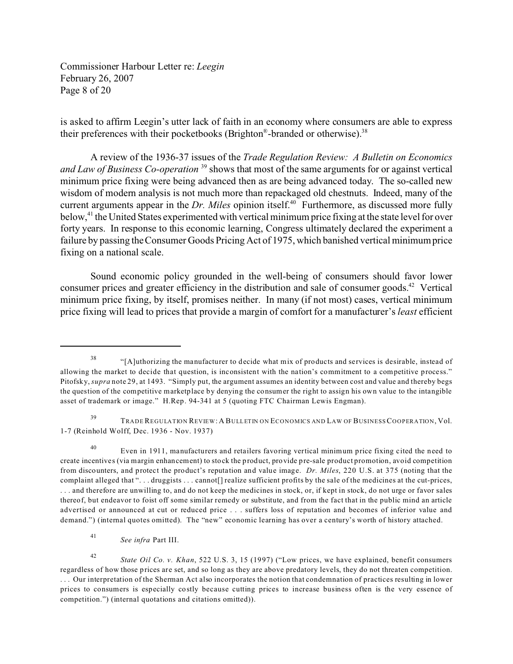Commissioner Harbour Letter re: *Leegin*  February 26, 2007 Page 8 of 20

is asked to affirm Leegin's utter lack of faith in an economy where consumers are able to express their preferences with their pocketbooks (Brighton®-branded or otherwise).<sup>38</sup>

A review of the 1936-37 issues of the *Trade Regulation Review: A Bulletin on Economics and Law of Business Co-operation* 39 shows that most of the same arguments for or against vertical minimum price fixing were being advanced then as are being advanced today. The so-called new wisdom of modern analysis is not much more than repackaged old chestnuts. Indeed, many of the current arguments appear in the *Dr. Miles* opinion itself.<sup>40</sup> Furthermore, as discussed more fully below,<sup>41</sup> the United States experimented with vertical minimum price fixing at the state level for over forty years. In response to this economic learning, Congress ultimately declared the experiment a failure by passing the Consumer Goods Pricing Act of 1975, which banished vertical minimum price fixing on a national scale.

Sound economic policy grounded in the well-being of consumers should favor lower consumer prices and greater efficiency in the distribution and sale of consumer goods.42 Vertical minimum price fixing, by itself, promises neither. In many (if not most) cases, vertical minimum price fixing will lead to prices that provide a margin of comfort for a manufacturer's *least* efficient

<sup>38 &</sup>quot;[A]uthorizing the manufacturer to decide what mix of products and services is desirable, instead of allowing the market to decide that question, is inconsistent with the nation's commitment to a competitive process." Pitofsky, *supra* note 29, at 1493. "Simply put, the argument assumes an identity between cost and value and thereby begs the question of the competitive marketplace by denying the consumer the right to assign his own value to the intangible asset of trademark or image." H.Rep. 94-341 at 5 (quoting FTC Chairman Lewis Engman).

<sup>&</sup>lt;sup>39</sup> TRADE REGULATION REVIEW: A BULLETIN ON ECONOMICS AND LAW OF BUSINESS COOPERATION, Vol. 1-7 (Reinhold Wolff, Dec. 1936 - Nov. 1937)

<sup>40</sup> Even in 1911, manufacturers and retailers favoring vertical minimum price fixing cited the need to create incentives (via margin enhancement) to stock the product, provide pre-sale product promotion, avoid competition from discounters, and protect the product's reputation and value image. *Dr. Miles*, 220 U.S. at 375 (noting that the complaint alleged that ". . . druggists . . . cannot[] realize sufficient profits by the sale of the medicines at the cut-prices, . . . and therefore are unwilling to, and do not keep the medicines in stock, or, if kept in stock, do not urge or favor sales thereof, but endeavor to foist off some similar remedy or substitute, and from the fact that in the public mind an article advertised or announced at cut or reduced price . . . suffers loss of reputation and becomes of inferior value and demand.") (internal quotes omitted). The "new" economic learning has over a century's worth of history attached.

<sup>41</sup>*See infra* Part III.

<sup>42</sup>*State Oil Co. v. Khan*, 522 U.S. 3, 15 (1997) ("Low prices, we have explained, benefit consumers regardless of how those prices are set, and so long as they are above predatory levels, they do not threaten competition. . . . Our interpretation of the Sherman Act also incorporates the notion that condemnation of practices resulting in lower prices to consumers is especially costly because cutting prices to increase business often is the very essence of competition.") (internal quotations and citations omitted)).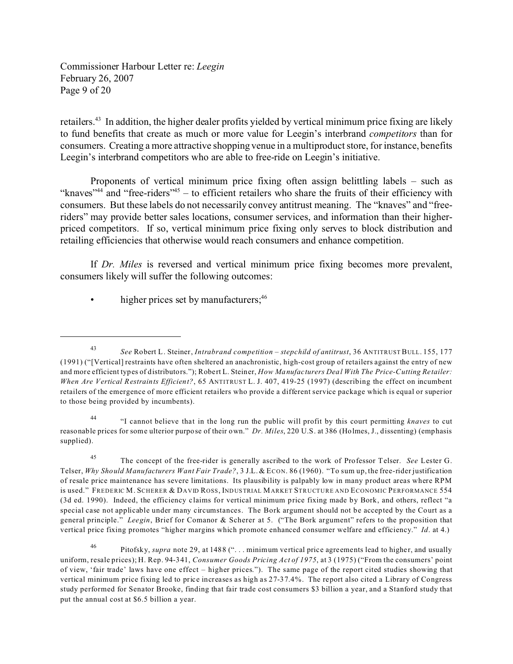Commissioner Harbour Letter re: *Leegin*  February 26, 2007 Page 9 of 20

retailers.<sup>43</sup> In addition, the higher dealer profits yielded by vertical minimum price fixing are likely to fund benefits that create as much or more value for Leegin's interbrand *competitors* than for consumers. Creating a more attractive shopping venue in a multiproduct store, for instance, benefits Leegin's interbrand competitors who are able to free-ride on Leegin's initiative.

Proponents of vertical minimum price fixing often assign belittling labels – such as "knaves"<sup>44</sup> and "free-riders"<sup>45</sup> – to efficient retailers who share the fruits of their efficiency with consumers. But these labels do not necessarily convey antitrust meaning. The "knaves" and "freeriders" may provide better sales locations, consumer services, and information than their higherpriced competitors. If so, vertical minimum price fixing only serves to block distribution and retailing efficiencies that otherwise would reach consumers and enhance competition.

If *Dr. Miles* is reversed and vertical minimum price fixing becomes more prevalent, consumers likely will suffer the following outcomes:

higher prices set by manufacturers;<sup>46</sup>

<sup>43</sup>*See* Robert L. Steiner, *Intrabrand competition – stepchild of antitrust*, 36 ANTITRUST BULL. 155, 177 (1991) ("[Vertical] restraints have often sheltered an anachronistic, high-cost group of retailers against the entry of new and more efficient types of distributors."); Robert L. Steiner, *How Manufacturers Deal With The Price-Cutting Retailer: When Are Vertical Restraints Efficient?*, 65 ANTITRUST L. J. 407, 419-25 (1997) (describing the effect on incumbent retailers of the emergence of more efficient retailers who provide a different service package which is equal or superior to those being provided by incumbents).

<sup>44 &</sup>quot;I cannot believe that in the long run the public will profit by this court permitting *knaves* to cut reasonable prices for some ulterior purpose of their own." *Dr. Miles*, 220 U.S. at 386 (Holmes, J., dissenting) (emphasis supplied).

<sup>45</sup> The concept of the free-rider is generally ascribed to the work of Professor Telser. *See* Lester G. Telser, *Why Should Manufacturers Want Fair Trade?*, 3 J.L. & ECON. 86 (1960). "To sum up, the free-rider justification of resale price maintenance has severe limitations. Its plausibility is palpably low in many product areas where RPM is used." FREDERIC M. SCHERER & DAVID ROSS, IND USTRIAL MARKET STRUCTURE AND ECONOMIC PERFORMANCE 554 (3d ed. 1990). Indeed, the efficiency claims for vertical minimum price fixing made by Bork, and others, reflect "a special case not applicable under many circumstances. The Bork argument should not be accepted by the Court as a general principle." *Leegin*, Brief for Comanor & Scherer at 5. ("The Bork argument" refers to the proposition that vertical price fixing promotes "higher margins which promote enhanced consumer welfare and efficiency." *Id*. at 4.)

<sup>46</sup> Pitofsky, *supra* note 29, at 1488 (". . . minimum vertical price agreements lead to higher, and usually uniform, resale prices); H. Rep. 94-341, *Consumer Goods Pricing Act of 1975*, at 3 (1975) ("From the consumers' point of view, 'fair trade' laws have one effect – higher prices."). The same page of the report cited studies showing that vertical minimum price fixing led to price increases as high as 27-37.4%. The report also cited a Library of Congress study performed for Senator Brooke, finding that fair trade cost consumers \$3 billion a year, and a Stanford study that put the annual cost at \$6.5 billion a year.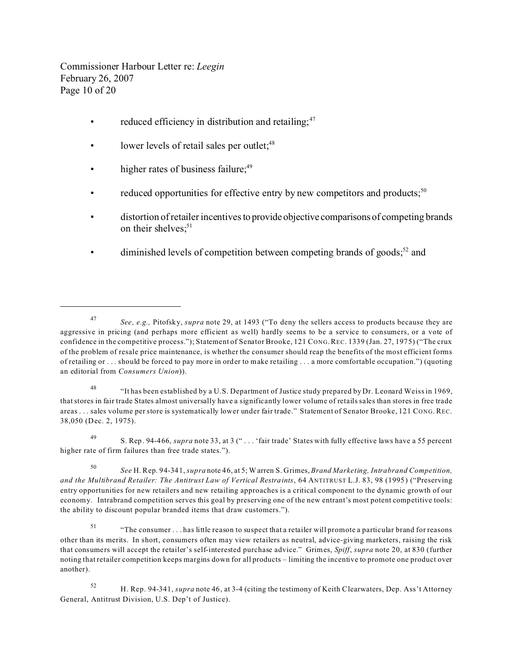Commissioner Harbour Letter re: *Leegin*  February 26, 2007 Page 10 of 20

- reduced efficiency in distribution and retailing; $47$
- lower levels of retail sales per outlet;<sup>48</sup>
- higher rates of business failure; $49$
- reduced opportunities for effective entry by new competitors and products;<sup>50</sup>
- distortion of retailer incentives to provide objective comparisons of competing brands on their shelves: $51$
- diminished levels of competition between competing brands of goods;<sup>52</sup> and

48 "It has been established by a U.S. Department of Justice study prepared by Dr. Leonard Weiss in 1969, that stores in fair trade States almost universally have a significantly lower volume of retails sales than stores in free trade areas . . . sales volume per store is systematically lower under fair trade." Statement of Senator Brooke, 121 CONG. REC. 38,050 (Dec. 2, 1975).

49 S. Rep. 94-466, *supra* note 33, at 3 (" . . . 'fair trade' States with fully effective laws have a 55 percent higher rate of firm failures than free trade states.").

<sup>50</sup>*See* H. Rep. 94-341, *supra* note 46, at 5; Warren S. Grimes, *Brand Marketing, Intrabrand Competition, and the Multibrand Retailer: The Antitrust Law of Vertical Restraints*, 64 ANTITRUST L.J. 83, 98 (1995) ("Preserving entry opportunities for new retailers and new retailing approaches is a critical component to the dynamic growth of our economy. Intrabrand competition serves this goal by preserving one of the new entrant's most potent competitive tools: the ability to discount popular branded items that draw customers.").

51 "The consumer . . . has little reason to suspect that a retailer will promote a particular brand for reasons other than its merits. In short, consumers often may view retailers as neutral, advice-giving marketers, raising the risk that consumers will accept the retailer's self-interested purchase advice." Grimes, *Spiff*, *supra* note 20, at 830 (further noting that retailer competition keeps margins down for all products – limiting the incentive to promote one product over another).

<sup>47</sup>*See, e.g.,* Pitofsky, *supra* note 29, at 1493 ("To deny the sellers access to products because they are aggressive in pricing (and perhaps more efficient as well) hardly seems to be a service to consumers, or a vote of confidence in the competitive process."); Statement of Senator Brooke, 121 CONG. REC. 1339 (Jan. 27, 1975) ("The crux of the problem of resale price maintenance, is whether the consumer should reap the benefits of the most efficient forms of retailing or . . . should be forced to pay more in order to make retailing . . . a more comfortable occupation.") (quoting an editorial from *Consumers Union*)).

<sup>52</sup> H. Rep. 94-341, *supra* note 46, at 3-4 (citing the testimony of Keith Clearwaters, Dep. Ass't Attorney General, Antitrust Division, U.S. Dep't of Justice).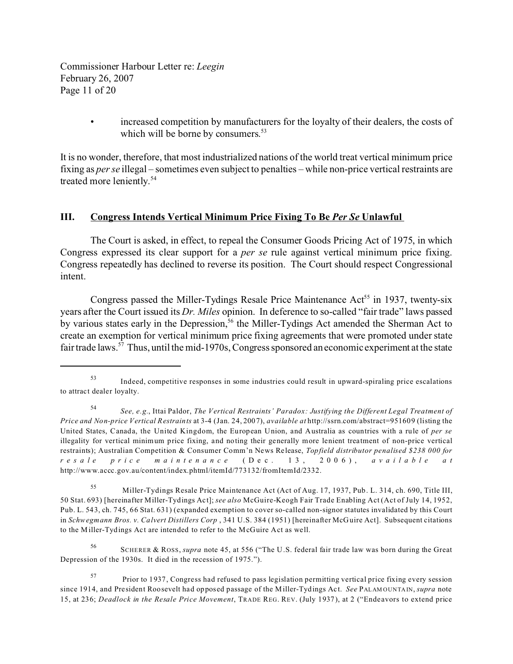Commissioner Harbour Letter re: *Leegin*  February 26, 2007 Page 11 of 20

> increased competition by manufacturers for the loyalty of their dealers, the costs of which will be borne by consumers.<sup>53</sup>

It is no wonder, therefore, that most industrialized nations of the world treat vertical minimum price fixing as *per se* illegal – sometimes even subject to penalties – while non-price vertical restraints are treated more leniently.<sup>54</sup>

#### **III. Congress Intends Vertical Minimum Price Fixing To Be** *Per Se* **Unlawful**

The Court is asked, in effect, to repeal the Consumer Goods Pricing Act of 1975, in which Congress expressed its clear support for a *per se* rule against vertical minimum price fixing. Congress repeatedly has declined to reverse its position. The Court should respect Congressional intent.

Congress passed the Miller-Tydings Resale Price Maintenance  $Act<sup>55</sup>$  in 1937, twenty-six years after the Court issued its *Dr. Miles* opinion. In deference to so-called "fair trade" laws passed by various states early in the Depression,<sup>56</sup> the Miller-Tydings Act amended the Sherman Act to create an exemption for vertical minimum price fixing agreements that were promoted under state fair trade laws.<sup>57</sup> Thus, until the mid-1970s, Congress sponsored an economic experiment at the state

55 Miller-Tydings Resale Price Maintenance Act (Act of Aug. 17, 1937, Pub. L. 314, ch. 690, Title III, 50 Stat. 693) [hereinafter Miller-Tydings Act]; *see also* McGuire-Keogh Fair Trade Enabling Act (Act of July 14, 1952, Pub. L. 543, ch. 745, 66 Stat. 631) (expanded exemption to cover so-called non-signor statutes invalidated by this Court in *Schwegmann Bros. v. Calvert Distillers Corp* , 341 U.S. 384 (1951) [hereinafter McGuire Act]. Subsequent citations to the Miller-Tydings Act are intended to refer to the McGuire Act as well.

56 SCHERER & ROSS, *supra* note 45, at 556 ("The U.S. federal fair trade law was born during the Great Depression of the 1930s. It died in the recession of 1975.").

<sup>53</sup> Indeed, competitive responses in some industries could result in upward-spiraling price escalations to attract dealer loyalty.

<sup>54</sup>*See, e.g.*, Ittai Paldor, *The Vertical Restraints' Paradox: Justifying the Different Legal Treatment of Price and Non-price Vertical Restraints* at 3-4 (Jan. 24, 2007), *available at* http://ssrn.com/abstract=951609 (listing the United States, Canada, the United Kingdom, the European Union, and Australia as countries with a rule of *per se*  illegality for vertical minimum price fixing, and noting their generally more lenient treatment of non-price vertical restraints); Australian Competition & Consumer Comm'n News Release, *Topfield distributor penalised \$238 000 for resal e pri ce maint enance* (De c. 1 3 , 200 6), *available a t*  http://www.accc.gov.au/content/index.phtml/itemId/773132/fromItemId/2332.

<sup>57</sup> Prior to 1937, Congress had refused to pass legislation permitting vertical price fixing every session since 1914, and President Roosevelt had opposed passage of the Miller-Tydings Act. *See* PALAM OUNTA IN, *supra* note 15, at 236; *Deadlock in the Resale Price Movement*, TRADE REG. REV. (July 1937), at 2 ("Endeavors to extend price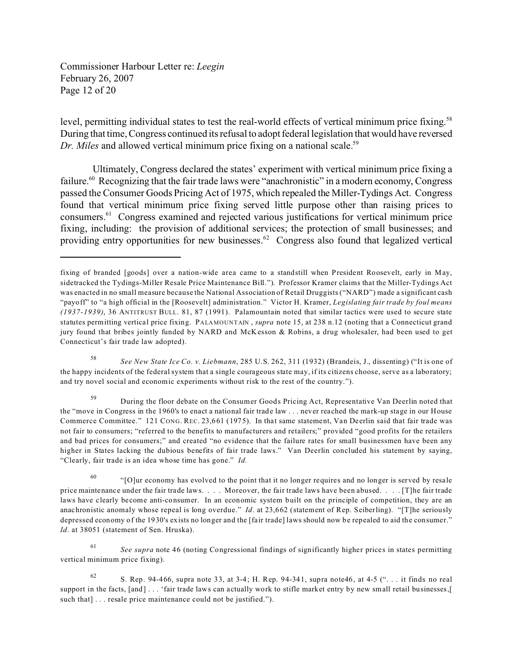Commissioner Harbour Letter re: *Leegin*  February 26, 2007 Page 12 of 20

level, permitting individual states to test the real-world effects of vertical minimum price fixing.<sup>58</sup> During that time, Congress continued its refusal to adopt federal legislation that would have reversed *Dr. Miles* and allowed vertical minimum price fixing on a national scale.<sup>59</sup>

 Ultimately, Congress declared the states' experiment with vertical minimum price fixing a failure.<sup>60</sup> Recognizing that the fair trade laws were "anachronistic" in a modern economy, Congress passed the Consumer Goods Pricing Act of 1975, which repealed the Miller-Tydings Act. Congress found that vertical minimum price fixing served little purpose other than raising prices to consumers.61 Congress examined and rejected various justifications for vertical minimum price fixing, including: the provision of additional services; the protection of small businesses; and providing entry opportunities for new businesses.<sup>62</sup> Congress also found that legalized vertical

fixing of branded [goods] over a nation-wide area came to a standstill when President Roosevelt, early in May, sidetracked the Tydings-Miller Resale Price Maintenance Bill."). Professor Kramer claims that the Miller-Tydings Act was enacted in no small measure because the National Association of Retail Druggists ("NARD") made a significant cash "payoff" to "a high official in the [Roosevelt] administration." Victor H. Kramer, *Legislating fair trade by foul means (1937-1939)*, 36 ANTITRUST BULL. 81, 87 (1991). Palamountain noted that similar tactics were used to secure state statutes permitting vertical price fixing. PALAMOUNTAIN , *supra* note 15, at 238 n.12 (noting that a Connecticut grand jury found that bribes jointly funded by NARD and McKesson & Robins, a drug wholesaler, had been used to get Connecticut's fair trade law adopted).

<sup>58</sup>*See New State Ice Co. v. Liebmann*, 285 U.S. 262, 311 (1932) (Brandeis, J., dissenting) ("It is one of the happy incidents of the federal system that a single courageous state may, if its citizens choose, serve as a laboratory; and try novel social and economic experiments without risk to the rest of the country.").

<sup>&</sup>lt;sup>59</sup> During the floor debate on the Consumer Goods Pricing Act, Representative Van Deerlin noted that the "move in Congress in the 1960's to enact a national fair trade law . . . never reached the mark-up stage in our House Commerce Committee." 121 CONG. REC. 23,661 (1975). In that same statement, Van Deerlin said that fair trade was not fair to consumers; "referred to the benefits to manufacturers and retailers;" provided "good profits for the retailers and bad prices for consumers;" and created "no evidence that the failure rates for small businessmen have been any higher in States lacking the dubious benefits of fair trade laws." Van Deerlin concluded his statement by saying, "Clearly, fair trade is an idea whose time has gone." *Id.* 

 $^{60}$  "[O]ur economy has evolved to the point that it no longer requires and no longer is served by resale price maintenance under the fair trade laws. . . . Moreover, the fair trade laws have been abused. . . . [T]he fair trade laws have clearly become anti-consumer. In an economic system built on the principle of competition, they are an anachronistic anomaly whose repeal is long overdue." *Id*. at 23,662 (statement of Rep. Seiberling). "[T]he seriously depressed economy of the 1930's exists no longer and the [fair trade] laws should now be repealed to aid the consumer." *Id*. at 38051 (statement of Sen. Hruska).

<sup>61</sup>*See supra* note 46 (noting Congressional findings of significantly higher prices in states permitting vertical minimum price fixing).

<sup>62</sup> S. Rep. 94-466, supra note 33, at 3-4; H. Rep. 94-341, supra note 46, at 4-5  $($ "... it finds no real support in the facts, [and] . . . 'fair trade laws can actually work to stifle market entry by new small retail businesses,[ such that] . . . resale price maintenance could not be justified.").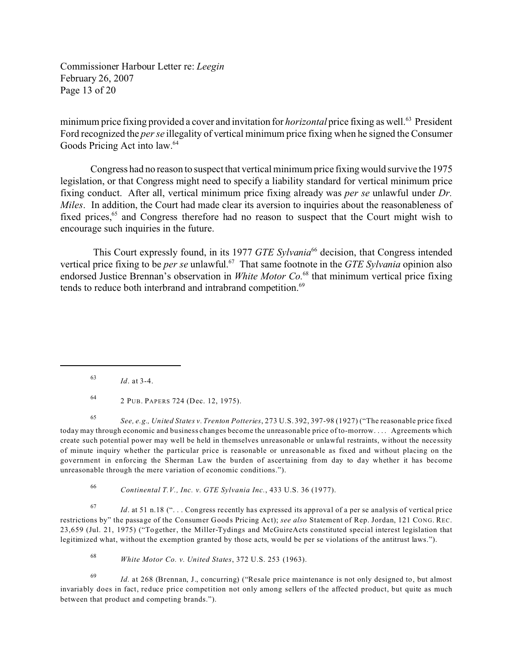Commissioner Harbour Letter re: *Leegin*  February 26, 2007 Page 13 of 20

minimum price fixing provided a cover and invitation for *horizontal* price fixing as well.63 President Ford recognized the *per se* illegality of vertical minimum price fixing when he signed the Consumer Goods Pricing Act into law.<sup>64</sup>

Congress had no reason to suspect that vertical minimum price fixing would survive the 1975 legislation, or that Congress might need to specify a liability standard for vertical minimum price fixing conduct. After all, vertical minimum price fixing already was *per se* unlawful under *Dr. Miles*. In addition, the Court had made clear its aversion to inquiries about the reasonableness of fixed prices,<sup>65</sup> and Congress therefore had no reason to suspect that the Court might wish to encourage such inquiries in the future.

This Court expressly found, in its 1977 *GTE Sylvania*<sup>66</sup> decision, that Congress intended vertical price fixing to be *per se* unlawful.<sup>67</sup> That same footnote in the *GTE Sylvania* opinion also endorsed Justice Brennan's observation in *White Motor Co.*68 that minimum vertical price fixing tends to reduce both interbrand and intrabrand competition.<sup>69</sup>

64 2 PUB. PAPERS 724 (Dec. 12, 1975).

<sup>65</sup>*See, e.g., United States v. Trenton Potteries*, 273 U.S. 392, 397-98 (1927) ("The reasonable price fixed today may through economic and business changes become the unreasonable price of to-morrow. . . . Agreements which create such potential power may well be held in themselves unreasonable or unlawful restraints, without the necessity of minute inquiry whether the particular price is reasonable or unreasonable as fixed and without placing on the government in enforcing the Sherman Law the burden of ascertaining from day to day whether it has become unreasonable through the mere variation of economic conditions.").

<sup>66</sup>*Continental T.V., Inc. v. GTE Sylvania Inc.*, 433 U.S. 36 (1977).

<sup>67</sup>*Id*. at 51 n.18 (". . . Congress recently has expressed its approval of a per se analysis of vertical price restrictions by" the passage of the Consumer Goods Pricing Act); *see also* Statement of Rep. Jordan, 121 CONG. REC. 23,659 (Jul. 21, 1975) ("Together, the Miller-Tydings and McGuireActs constituted special interest legislation that legitimized what, without the exemption granted by those acts, would be per se violations of the antitrust laws.").

<sup>68</sup>*White Motor Co. v. United States*, 372 U.S. 253 (1963).

<sup>69</sup>*Id.* at 268 (Brennan, J., concurring) ("Resale price maintenance is not only designed to, but almost invariably does in fact, reduce price competition not only among sellers of the affected product, but quite as much between that product and competing brands.").

<sup>63</sup>*Id*. at 3-4.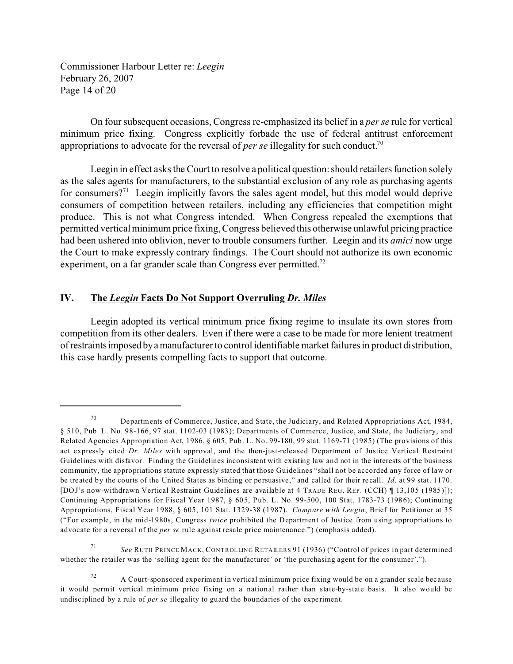Commissioner Harbour Letter re: *Leegin*  February 26, 2007 Page 14 of 20

On four subsequent occasions, Congress re-emphasized its belief in a *per se* rule for vertical minimum price fixing. Congress explicitly forbade the use of federal antitrust enforcement appropriations to advocate for the reversal of *per se* illegality for such conduct.<sup>70</sup>

Leegin in effect asks the Court to resolve a political question: should retailers function solely as the sales agents for manufacturers, to the substantial exclusion of any role as purchasing agents for consumers?<sup>71</sup> Leegin implicitly favors the sales agent model, but this model would deprive consumers of competition between retailers, including any efficiencies that competition might produce. This is not what Congress intended. When Congress repealed the exemptions that permitted vertical minimum price fixing, Congress believed this otherwise unlawful pricing practice had been ushered into oblivion, never to trouble consumers further. Leegin and its *amici* now urge the Court to make expressly contrary findings. The Court should not authorize its own economic experiment, on a far grander scale than Congress ever permitted.<sup>72</sup>

#### **IV. The** *Leegin* **Facts Do Not Support Overruling** *Dr. Miles*

Leegin adopted its vertical minimum price fixing regime to insulate its own stores from competition from its other dealers. Even if there were a case to be made for more lenient treatment of restraintsimposed byamanufacturer to control identifiable market failures in product distribution, this case hardly presents compelling facts to support that outcome.

<sup>70</sup> Departments of Commerce, Justice, and State, the Judiciary, and Related Appropriations Act, 1984, § 510, Pub. L. No. 98-166, 97 stat. 1102-03 (1983); Departments of Commerce, Justice, and State, the Judiciary, and Related Agencies Appropriation Act, 1986, § 605, Pub. L. No. 99-180, 99 stat. 1169-71 (1985) (The provisions of this act expressly cited *Dr. Miles* with approval, and the then-just-released Department of Justice Vertical Restraint Guidelines with disfavor. Finding the Guidelines inconsistent with existing law and not in the interests of the business community, the appropriations statute expressly stated that those Guidelines "shall not be accorded any force of law or be treated by the courts of the United States as binding or persuasive," and called for their recall. *Id*. at 99 stat. 1170. [DOJ's now-withdrawn Vertical Restraint Guidelines are available at 4 TRADE REG. REP. (CCH) ¶ 13,105 (1985)]); Continuing Appropriations for Fiscal Year 1987, § 605, Pub. L. No. 99-500, 100 Stat. 1783-73 (1986); Continuing Appropriations, Fiscal Year 1988, § 605, 101 Stat. 1329-38 (1987). *Compare with Leegin*, Brief for Petitioner at 35 ("For example, in the mid-1980s, Congress *twice* prohibited the Department of Justice from using appropriations to advocate for a reversal of the *per se* rule against resale price maintenance.") (emphasis added).

<sup>71</sup>*See* RUTH PRINCE MACK, CONTROLLING RETAILERS 91 (1936) ("Control of prices in part determined whether the retailer was the 'selling agent for the manufacturer' or 'the purchasing agent for the consumer'.").

 $72$  A Court-sponsored experiment in vertical minimum price fixing would be on a grander scale because it would permit vertical minimum price fixing on a national rather than state-by-state basis. It also would be undisciplined by a rule of *per se* illegality to guard the boundaries of the experiment.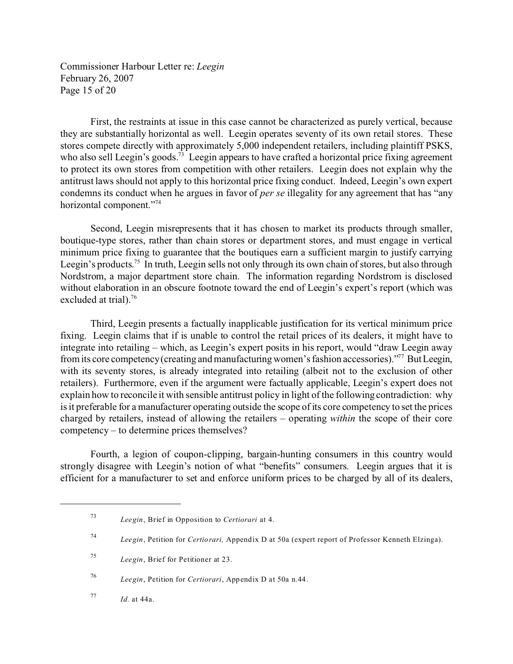Commissioner Harbour Letter re: *Leegin*  February 26, 2007 Page 15 of 20

First, the restraints at issue in this case cannot be characterized as purely vertical, because they are substantially horizontal as well. Leegin operates seventy of its own retail stores. These stores compete directly with approximately 5,000 independent retailers, including plaintiff PSKS, who also sell Leegin's goods.<sup>73</sup> Leegin appears to have crafted a horizontal price fixing agreement to protect its own stores from competition with other retailers. Leegin does not explain why the antitrust laws should not apply to this horizontal price fixing conduct. Indeed, Leegin's own expert condemns its conduct when he argues in favor of *per se* illegality for any agreement that has "any horizontal component."<sup>74</sup>

Second, Leegin misrepresents that it has chosen to market its products through smaller, boutique-type stores, rather than chain stores or department stores, and must engage in vertical minimum price fixing to guarantee that the boutiques earn a sufficient margin to justify carrying Leegin's products.<sup>75</sup> In truth, Leegin sells not only through its own chain of stores, but also through Nordstrom, a major department store chain. The information regarding Nordstrom is disclosed without elaboration in an obscure footnote toward the end of Leegin's expert's report (which was excluded at trial).<sup>76</sup>

Third, Leegin presents a factually inapplicable justification for its vertical minimum price fixing. Leegin claims that if is unable to control the retail prices of its dealers, it might have to integrate into retailing – which, as Leegin's expert posits in his report, would "draw Leegin away from its core competency (creating and manufacturing women's fashion accessories)."77 ButLeegin, with its seventy stores, is already integrated into retailing (albeit not to the exclusion of other retailers). Furthermore, even if the argument were factually applicable, Leegin's expert does not explain how to reconcile it with sensible antitrust policy in light of the following contradiction: why is it preferable for a manufacturer operating outside the scope of its core competency to set the prices charged by retailers, instead of allowing the retailers – operating *within* the scope of their core competency – to determine prices themselves?

Fourth, a legion of coupon-clipping, bargain-hunting consumers in this country would strongly disagree with Leegin's notion of what "benefits" consumers. Leegin argues that it is efficient for a manufacturer to set and enforce uniform prices to be charged by all of its dealers,

<sup>76</sup>*Leegin*, Petition for *Certiorari*, Appendix D at 50a n.44.

<sup>73</sup>*Leegin*, Brief in Opposition to *Certiorari* at 4.

<sup>74</sup>*Leegin*, Petition for *Certiorari,* Appendix D at 50a (expert report of Professor Kenneth Elzinga).

<sup>75</sup>*Leegin*, Brief for Petitioner at 23.

<sup>77</sup>*Id.* at 44a.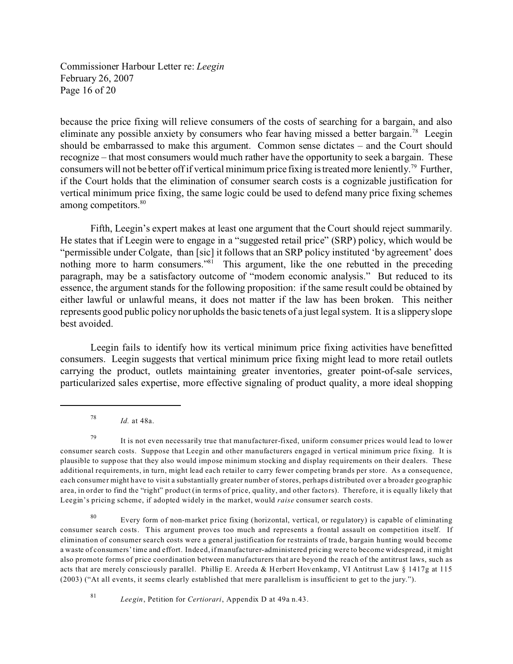Commissioner Harbour Letter re: *Leegin*  February 26, 2007 Page 16 of 20

because the price fixing will relieve consumers of the costs of searching for a bargain, and also eliminate any possible anxiety by consumers who fear having missed a better bargain.<sup>78</sup> Leegin should be embarrassed to make this argument. Common sense dictates – and the Court should recognize – that most consumers would much rather have the opportunity to seek a bargain. These consumers will not be better off if vertical minimum price fixing is treated more leniently.79 Further, if the Court holds that the elimination of consumer search costs is a cognizable justification for vertical minimum price fixing, the same logic could be used to defend many price fixing schemes among competitors.<sup>80</sup>

Fifth, Leegin's expert makes at least one argument that the Court should reject summarily. He states that if Leegin were to engage in a "suggested retail price" (SRP) policy, which would be "permissible under Colgate, than [sic] it follows that an SRP policy instituted 'by agreement' does nothing more to harm consumers."<sup>81</sup> This argument, like the one rebutted in the preceding paragraph, may be a satisfactory outcome of "modern economic analysis." But reduced to its essence, the argument stands for the following proposition: if the same result could be obtained by either lawful or unlawful means, it does not matter if the law has been broken. This neither represents good public policy nor upholds the basic tenets of a just legal system. It is a slippery slope best avoided.

Leegin fails to identify how its vertical minimum price fixing activities have benefitted consumers. Leegin suggests that vertical minimum price fixing might lead to more retail outlets carrying the product, outlets maintaining greater inventories, greater point-of-sale services, particularized sales expertise, more effective signaling of product quality, a more ideal shopping

<sup>78</sup>*Id.* at 48a.

 $79$  It is not even necessarily true that manufacturer-fixed, uniform consumer prices would lead to lower consumer search costs. Suppose that Leegin and other manufacturers engaged in vertical minimum price fixing. It is plausible to suppose that they also would impose minimum stocking and display requirements on their dealers. These additional requirements, in turn, might lead each retailer to carry fewer competing brands per store. As a consequence, each consumer might have to visit a substantially greater number of stores, perhaps distributed over a broader geographic area, in order to find the "right" product (in terms of price, quality, and other factors). Therefore, it is equally likely that Leegin's pricing scheme, if adopted widely in the market, would *raise* consumer search costs.

80 Every form of non-market price fixing (horizontal, vertical, or regulatory) is capable of eliminating consumer search costs. This argument proves too much and represents a frontal assault on competition itself. If elimination of consumer search costs were a general justification for restraints of trade, bargain hunting would become a waste of consumers' time and effort. Indeed, if manufacturer-administered pricing were to become widespread, it might also promote forms of price coordination between manufacturers that are beyond the reach of the antitrust laws, such as acts that are merely consciously parallel. Phillip E. Areeda & Herbert Hovenkamp, VI Antitrust Law § 1417g at 115 (2003) ("At all events, it seems clearly established that mere parallelism is insufficient to get to the jury.").

<sup>81</sup>*Leegin*, Petition for *Certiorari*, Appendix D at 49a n.43.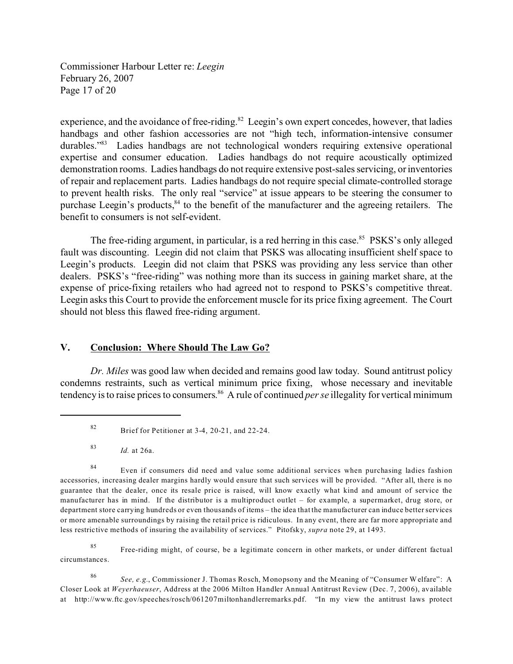Commissioner Harbour Letter re: *Leegin*  February 26, 2007 Page 17 of 20

experience, and the avoidance of free-riding. $82$  Leegin's own expert concedes, however, that ladies handbags and other fashion accessories are not "high tech, information-intensive consumer durables.<sup>383</sup> Ladies handbags are not technological wonders requiring extensive operational expertise and consumer education. Ladies handbags do not require acoustically optimized demonstration rooms. Ladies handbags do not require extensive post-sales servicing, or inventories of repair and replacement parts. Ladies handbags do not require special climate-controlled storage to prevent health risks. The only real "service" at issue appears to be steering the consumer to purchase Leegin's products,<sup>84</sup> to the benefit of the manufacturer and the agreeing retailers. The benefit to consumers is not self-evident.

The free-riding argument, in particular, is a red herring in this case.<sup>85</sup> PSKS's only alleged fault was discounting. Leegin did not claim that PSKS was allocating insufficient shelf space to Leegin's products. Leegin did not claim that PSKS was providing any less service than other dealers. PSKS's "free-riding" was nothing more than its success in gaining market share, at the expense of price-fixing retailers who had agreed not to respond to PSKS's competitive threat. Leegin asks this Court to provide the enforcement muscle for its price fixing agreement. The Court should not bless this flawed free-riding argument.

#### **V. Conclusion: Where Should The Law Go?**

*Dr. Miles* was good law when decided and remains good law today. Sound antitrust policy condemns restraints, such as vertical minimum price fixing, whose necessary and inevitable tendency is to raise prices to consumers. 86 A rule of continued *per se* illegality for vertical minimum

<sup>83</sup>*Id.* at 26a.

84 Even if consumers did need and value some additional services when purchasing ladies fashion accessories, increasing dealer margins hardly would ensure that such services will be provided. "After all, there is no guarantee that the dealer, once its resale price is raised, will know exactly what kind and amount of service the manufacturer has in mind. If the distributor is a multiproduct outlet – for example, a supermarket, drug store, or department store carrying hundreds or even thousands of items – the idea that the manufacturer can induce better services or more amenable surroundings by raising the retail price is ridiculous. In any event, there are far more appropriate and less restrictive methods of insuring the availability of services." Pitofsky, *supra* note 29, at 1493.

<sup>85</sup> Free-riding might, of course, be a legitimate concern in other markets, or under different factual circumstances.

<sup>86</sup>*See, e.g.*, Commissioner J. Thomas Rosch, Monopsony and the Meaning of "Consumer Welfare": A Closer Look at *Weyerhaeuser*, Address at the 2006 Milton Handler Annual Antitrust Review (Dec. 7, 2006), available at http://www.ftc.gov/speeches/rosch/061207miltonhandlerremarks.pdf. "In my view the antitrust laws protect

<sup>82</sup> Brief for Petitioner at 3-4, 20-21, and 22-24.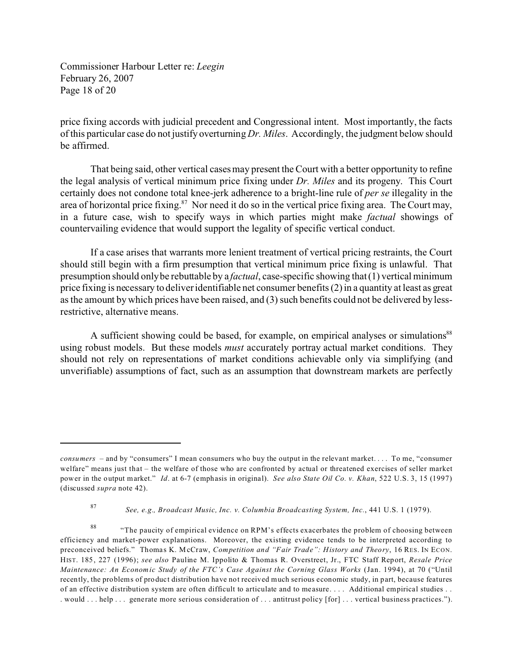Commissioner Harbour Letter re: *Leegin*  February 26, 2007 Page 18 of 20

price fixing accords with judicial precedent and Congressional intent. Most importantly, the facts of this particular case do not justify overturning *Dr. Miles*. Accordingly, the judgment below should be affirmed.

That being said, other vertical cases may present the Court with a better opportunity to refine the legal analysis of vertical minimum price fixing under *Dr. Miles* and its progeny. This Court certainly does not condone total knee-jerk adherence to a bright-line rule of *per se* illegality in the area of horizontal price fixing.<sup>87</sup> Nor need it do so in the vertical price fixing area. The Court may, in a future case, wish to specify ways in which parties might make *factual* showings of countervailing evidence that would support the legality of specific vertical conduct.

If a case arises that warrants more lenient treatment of vertical pricing restraints, the Court should still begin with a firm presumption that vertical minimum price fixing is unlawful. That presumption should only be rebuttable by a *factual*, case-specific showing that (1) vertical minimum price fixing is necessary to deliver identifiable net consumer benefits (2) in a quantity at least as great as the amount by which prices have been raised, and (3) such benefits could not be delivered by lessrestrictive, alternative means.

A sufficient showing could be based, for example, on empirical analyses or simulations<sup>88</sup> using robust models. But these models *must* accurately portray actual market conditions. They should not rely on representations of market conditions achievable only via simplifying (and unverifiable) assumptions of fact, such as an assumption that downstream markets are perfectly

*consumers* – and by "consumers" I mean consumers who buy the output in the relevant market. . . . To me, "consumer welfare" means just that – the welfare of those who are confronted by actual or threatened exercises of seller market power in the output market." *Id*. at 6-7 (emphasis in original). *See also State Oil Co. v. Khan*, 522 U.S. 3, 15 (1997) (discussed *supra* note 42).

<sup>87</sup>*See, e.g., Broadcast Music, Inc. v. Columbia Broadcasting System, Inc.*, 441 U.S. 1 (1979).

<sup>&</sup>lt;sup>88</sup> "The paucity of empirical evidence on RPM's effects exacerbates the problem of choosing between efficiency and market-power explanations. Moreover, the existing evidence tends to be interpreted according to preconceived beliefs." Thomas K. McCraw, *Competition and "Fair Trade": History and Theory*, 16 RES. IN ECON. HIST. 185, 227 (1996); *see also* Pauline M. Ippolito & Thomas R. Overstreet, Jr., FTC Staff Report, *Resale Price Maintenance: An Economic Study of the FTC's Case Against the Corning Glass Works (Jan. 1994), at 70 ("Until* recently, the problems of product distribution have not received much serious economic study, in part, because features of an effective distribution system are often difficult to articulate and to measure. . . . Additional empirical studies . . . would . . . help . . . generate more serious consideration of . . . antitrust policy [for] . . . vertical business practices.").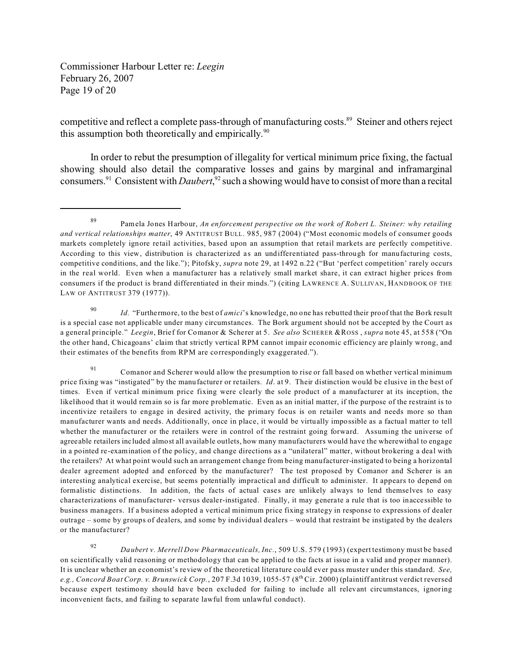Commissioner Harbour Letter re: *Leegin*  February 26, 2007 Page 19 of 20

competitive and reflect a complete pass-through of manufacturing costs.<sup>89</sup> Steiner and others reject this assumption both theoretically and empirically.<sup>90</sup>

In order to rebut the presumption of illegality for vertical minimum price fixing, the factual showing should also detail the comparative losses and gains by marginal and inframarginal consumers.91 Consistent with *Daubert*, 92 such a showing would have to consist of more than a recital

<sup>92</sup>*Daubert v. Merrell Dow Pharmaceuticals, Inc.*, 509 U.S. 579 (1993) (expert testimony must be based on scientifically valid reasoning or methodology that can be applied to the facts at issue in a valid and proper manner). It is unclear whether an economist's review of the theoretical literature could ever pass muster under this standard. *See, e.g., Concord Boat Corp. v. Brunswick Corp.*, 207 F.3d 1039, 1055-57 (8<sup>th</sup> Cir. 2000) (plaintiff antitrust verdict reversed because expert testimony should have been excluded for failing to include all relevant circumstances, ignoring inconvenient facts, and failing to separate lawful from unlawful conduct).

<sup>89</sup> Pamela Jones Harbour, *An enforcement perspective on the work of Robert L. Steiner: why retailing and vertical relationships matter*, 49 ANTITRUST BULL. 985, 987 (2004) ("Most economic models of consumer goods markets completely ignore retail activities, based upon an assumption that retail markets are perfectly competitive. According to this view, distribution is characterized as an undifferentiated pass-through for manufacturing costs, competitive conditions, and the like."); Pitofsky, *supra* note 29, at 1492 n.22 ("But 'perfect competition' rarely occurs in the real world. Even when a manufacturer has a relatively small market share, it can extract higher prices from consumers if the product is brand differentiated in their minds.") (citing LAWRENCE A. SULLIVAN, HANDBOOK OF THE LAW OF ANTITRUST 379 (1977)).

<sup>90</sup>*Id.* "Furthermore, to the best of *amici*'s knowledge, no one has rebutted their proof that the Bork result is a special case not applicable under many circumstances. The Bork argument should not be accepted by the Court as a general principle." *Leegin*, Brief for Comanor & Scherer at 5. *See also* SCHERER &ROSS , *supra* note 45, at 558 ("On the other hand, Chicagoans' claim that strictly vertical RPM cannot impair economic efficiency are plainly wrong, and their estimates of the benefits from RPM are correspondingly exaggerated.").

<sup>91</sup> Comanor and Scherer would allow the presumption to rise or fall based on whether vertical minimum price fixing was "instigated" by the manufacturer or retailers. *Id*. at 9. Their distinction would be elusive in the best of times. Even if vertical minimum price fixing were clearly the sole product of a manufacturer at its inception, the likelihood that it would remain so is far more problematic. Even as an initial matter, if the purpose of the restraint is to incentivize retailers to engage in desired activity, the primary focus is on retailer wants and needs more so than manufacturer wants and needs. Additionally, once in place, it would be virtually impossible as a factual matter to tell whether the manufacturer or the retailers were in control of the restraint going forward. Assuming the universe of agreeable retailers included almost all available outlets, how many manufacturers would have the wherewithal to engage in a pointed re-examination of the policy, and change directions as a "unilateral" matter, without brokering a deal with the retailers? At what point would such an arrangement change from being manufacturer-instigated to being a horizontal dealer agreement adopted and enforced by the manufacturer? The test proposed by Comanor and Scherer is an interesting analytical exercise, but seems potentially impractical and difficult to administer. It appears to depend on formalistic distinctions. In addition, the facts of actual cases are unlikely always to lend themselves to easy characterizations of manufacturer- versus dealer-instigated. Finally, it may generate a rule that is too inaccessible to business managers. If a business adopted a vertical minimum price fixing strategy in response to expressions of dealer outrage – some by groups of dealers, and some by individual dealers – would that restraint be instigated by the dealers or the manufacturer?